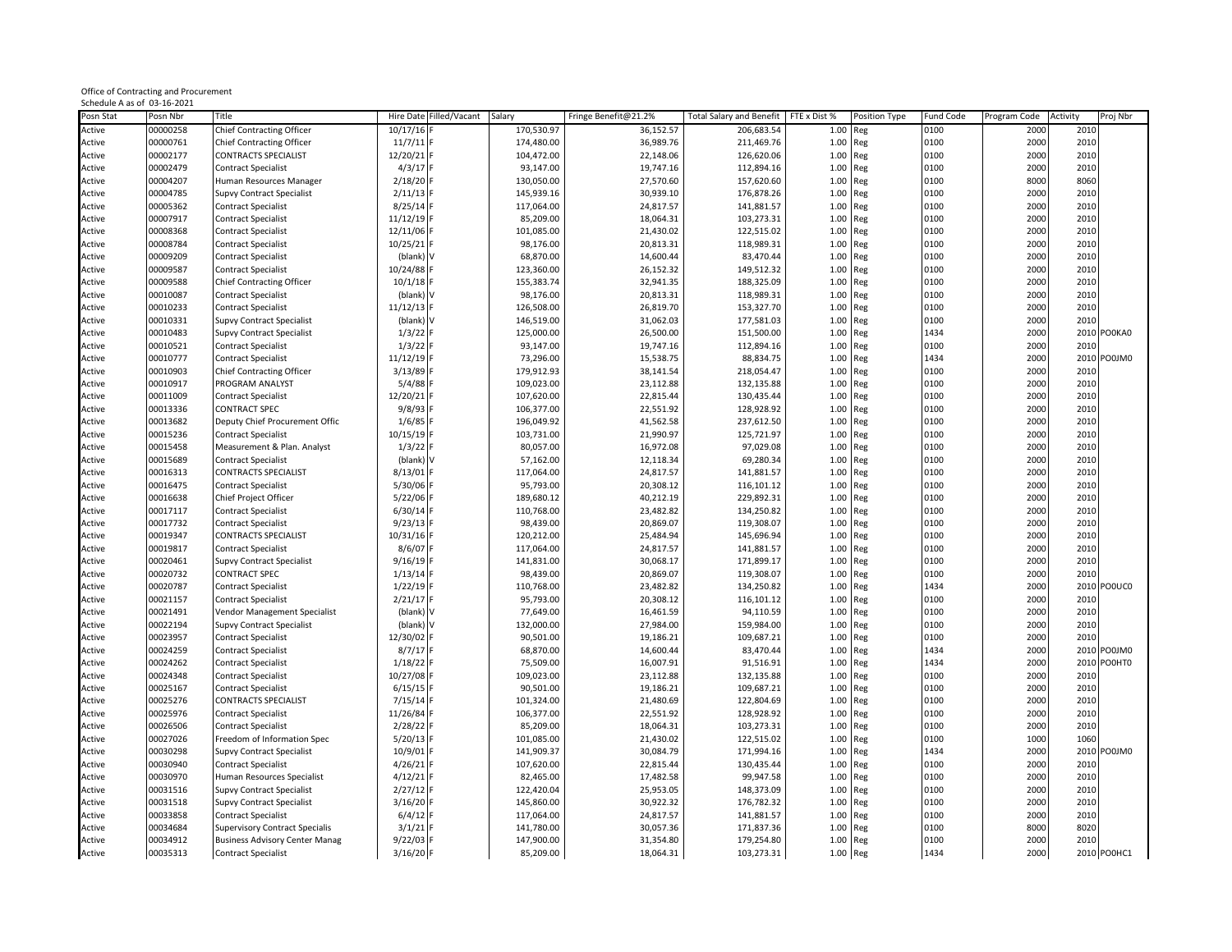|                             | Office of Contracting and Procurement |
|-----------------------------|---------------------------------------|
| Schedule A as of 03-16-2021 |                                       |

| Posn Stat | Posn Nbr | Title                                 |             | Hire Date Filled/Vacant | Salary     | Fringe Benefit@21.2% | <b>Total Salary and Benefit</b> | FTE x Dist % | Position Type | Fund Code | Program Code | Activity     | Proj Nbr    |
|-----------|----------|---------------------------------------|-------------|-------------------------|------------|----------------------|---------------------------------|--------------|---------------|-----------|--------------|--------------|-------------|
| Active    | 00000258 | Chief Contracting Officer             | 10/17/16    |                         | 170,530.97 | 36,152.57            | 206,683.54                      | 1.00         | Reg           | 0100      | 2000         | 2010         |             |
| Active    | 00000761 | <b>Chief Contracting Officer</b>      | $11/7/11$ F |                         | 174,480.00 | 36,989.76            | 211,469.76                      | 1.00         | Reg           | 0100      | 2000         | 2010         |             |
| Active    | 00002177 | CONTRACTS SPECIALIST                  | 12/20/21    |                         | 104,472.00 | 22,148.06            | 126,620.06                      | 1.00         | Reg           | 0100      | 2000         | 2010         |             |
| Active    | 00002479 | <b>Contract Specialist</b>            | 4/3/17      |                         | 93,147.00  | 19,747.16            | 112,894.16                      | 1.00         | Reg           | 0100      | 2000         | 2010         |             |
| Active    | 00004207 | Human Resources Manager               | 2/18/20     |                         | 130,050.00 | 27,570.60            | 157,620.60                      | 1.00         | Reg           | 0100      | 8000         | 8060         |             |
| Active    | 00004785 | <b>Supvy Contract Specialist</b>      | 2/11/13     |                         | 145,939.16 | 30,939.10            | 176,878.26                      | 1.00         | Reg           | 0100      | 2000         | 2010         |             |
| Active    | 00005362 | <b>Contract Specialist</b>            | 8/25/14     |                         | 117,064.00 | 24,817.57            | 141,881.57                      | 1.00         | Reg           | 0100      | 2000         | 2010         |             |
| Active    | 00007917 |                                       | 11/12/19    |                         | 85,209.00  | 18,064.31            | 103,273.31                      | 1.00         |               | 0100      | 2000         | 2010         |             |
| Active    | 00008368 | <b>Contract Specialist</b>            | 12/11/06    |                         | 101,085.00 |                      | 122,515.02                      | 1.00         | Reg           | 0100      | 2000         | 2010         |             |
|           | 00008784 | <b>Contract Specialist</b>            |             |                         | 98,176.00  | 21,430.02            |                                 |              | Reg           | 0100      | 2000         | 2010         |             |
| Active    |          | <b>Contract Specialist</b>            | 10/25/21    |                         |            | 20,813.31            | 118,989.31                      | 1.00         | Reg           |           | 2000         |              |             |
| Active    | 00009209 | <b>Contract Specialist</b>            | (blank) V   |                         | 68,870.00  | 14,600.44            | 83,470.44                       | 1.00         | Reg           | 0100      |              | 2010         |             |
| Active    | 00009587 | <b>Contract Specialist</b>            | 10/24/88    |                         | 123,360.00 | 26,152.32            | 149,512.32                      | 1.00         | Reg           | 0100      | 2000         | 2010         |             |
| Active    | 00009588 | <b>Chief Contracting Officer</b>      | 10/1/18     |                         | 155,383.74 | 32,941.35            | 188,325.09                      | 1.00         | Reg           | 0100      | 2000         | 2010         |             |
| Active    | 00010087 | <b>Contract Specialist</b>            | (blank)     |                         | 98,176.00  | 20,813.31            | 118,989.31                      | 1.00         | Reg           | 0100      | 2000         | 2010         |             |
| Active    | 00010233 | <b>Contract Specialist</b>            | 11/12/13    |                         | 126,508.00 | 26,819.70            | 153,327.70                      | 1.00         | Reg           | 0100      | 2000         | 2010         |             |
| Active    | 00010331 | <b>Supvy Contract Specialist</b>      | (blank)     |                         | 146,519.00 | 31,062.03            | 177,581.03                      | 1.00         | Reg           | 0100      | 2000         | 2010         |             |
| Active    | 00010483 | <b>Supvy Contract Specialist</b>      | 1/3/22      |                         | 125,000.00 | 26,500.00            | 151,500.00                      | 1.00         | Reg           | 1434      | 2000         |              | 2010 PO0KA0 |
| Active    | 00010521 | <b>Contract Specialist</b>            | 1/3/22      |                         | 93,147.00  | 19,747.16            | 112,894.16                      | 1.00         | Reg           | 0100      | 2000         | 2010         |             |
| Active    | 00010777 | <b>Contract Specialist</b>            | 11/12/19    |                         | 73,296.00  | 15,538.75            | 88,834.75                       | 1.00         | Reg           | 1434      | 2000         |              | 2010 PO0JM0 |
| Active    | 00010903 | <b>Chief Contracting Officer</b>      | 3/13/89     |                         | 179,912.93 | 38,141.54            | 218,054.47                      | 1.00         | Reg           | 0100      | 2000         | 2010         |             |
| Active    | 00010917 | PROGRAM ANALYST                       | $5/4/88$ F  |                         | 109,023.00 | 23,112.88            | 132,135.88                      | 1.00         | Reg           | 0100      | 2000         | 2010         |             |
| Active    | 00011009 | <b>Contract Specialist</b>            | 12/20/21    |                         | 107,620.00 | 22,815.44            | 130,435.44                      | 1.00         | Reg           | 0100      | 2000         | 2010         |             |
| Active    | 00013336 | <b>CONTRACT SPEC</b>                  | 9/8/93      |                         | 106,377.00 | 22,551.92            | 128,928.92                      | 1.00         | Reg           | 0100      | 2000         | 2010         |             |
| Active    | 00013682 | Deputy Chief Procurement Offic        | 1/6/85      |                         | 196,049.92 | 41,562.58            | 237,612.50                      | 1.00         | Reg           | 0100      | 2000         | 2010         |             |
| Active    | 00015236 | <b>Contract Specialist</b>            | 10/15/19    |                         | 103,731.00 | 21,990.97            | 125,721.97                      | 1.00         | Reg           | 0100      | 2000         | 2010         |             |
| Active    | 00015458 | Measurement & Plan. Analyst           | 1/3/22      |                         | 80,057.00  | 16,972.08            | 97,029.08                       | 1.00         | Reg           | 0100      | 2000         | 2010         |             |
| Active    | 00015689 | <b>Contract Specialist</b>            | (blank) V   |                         | 57,162.00  | 12,118.34            | 69,280.34                       | 1.00         | Reg           | 0100      | 2000         | 2010         |             |
| Active    | 00016313 | <b>CONTRACTS SPECIALIST</b>           | 8/13/01     |                         | 117,064.00 | 24,817.57            | 141,881.57                      | 1.00         | Reg           | 0100      | 2000         | 2010         |             |
| Active    | 00016475 | <b>Contract Specialist</b>            | 5/30/06     |                         | 95,793.00  | 20,308.12            | 116,101.12                      | 1.00         | Reg           | 0100      | 2000         | 2010         |             |
| Active    | 00016638 | Chief Project Officer                 | 5/22/06     |                         | 189,680.12 | 40,212.19            | 229,892.31                      | 1.00         | Reg           | 0100      | 2000         | 2010         |             |
| Active    | 00017117 | <b>Contract Specialist</b>            | 6/30/14     |                         | 110,768.00 | 23,482.82            | 134,250.82                      | 1.00         | Reg           | 0100      | 2000         | 2010         |             |
| Active    | 00017732 | <b>Contract Specialist</b>            | 9/23/13     |                         | 98,439.00  | 20,869.07            | 119,308.07                      | 1.00         | Reg           | 0100      | 2000         | 2010         |             |
| Active    | 00019347 | <b>CONTRACTS SPECIALIST</b>           | 10/31/16    |                         | 120,212.00 | 25,484.94            | 145,696.94                      | 1.00         | Reg           | 0100      | 2000         | 2010         |             |
| Active    | 00019817 | <b>Contract Specialist</b>            | 8/6/07      |                         | 117,064.00 | 24,817.57            | 141,881.57                      | 1.00         | Reg           | 0100      | 2000         | 2010         |             |
| Active    | 00020461 | <b>Supvy Contract Specialist</b>      | 9/16/19     |                         | 141,831.00 | 30,068.17            | 171,899.17                      | 1.00         | Reg           | 0100      | 2000         | 2010         |             |
| Active    | 00020732 | <b>CONTRACT SPEC</b>                  | 1/13/14     |                         | 98,439.00  | 20,869.07            | 119,308.07                      | 1.00         | Reg           | 0100      | 2000         | 2010         |             |
| Active    | 00020787 | <b>Contract Specialist</b>            | 1/22/19     |                         | 110,768.00 | 23,482.82            | 134,250.82                      | 1.00         | Reg           | 1434      | 2000         |              | 2010 PO0UC0 |
| Active    | 00021157 | <b>Contract Specialist</b>            | 2/21/17     |                         | 95,793.00  | 20,308.12            | 116,101.12                      | 1.00         |               | 0100      | 2000         | 2010         |             |
|           | 00021491 |                                       | (blank)     |                         | 77,649.00  |                      |                                 |              | Reg           | 0100      |              | 2010         |             |
| Active    | 00022194 | Vendor Management Specialist          |             |                         |            | 16,461.59            | 94,110.59                       | 1.00<br>1.00 | Reg           |           | 2000         |              |             |
| Active    |          | <b>Supvy Contract Specialist</b>      | (blank)     |                         | 132,000.00 | 27,984.00            | 159,984.00                      |              | Reg           | 0100      | 2000<br>2000 | 2010<br>2010 |             |
| Active    | 00023957 | <b>Contract Specialist</b>            | 12/30/02    |                         | 90,501.00  | 19,186.21            | 109,687.21                      | 1.00         | Reg           | 0100      |              |              |             |
| Active    | 00024259 | <b>Contract Specialist</b>            | 8/7/17      |                         | 68,870.00  | 14,600.44            | 83,470.44                       | 1.00         | Reg           | 1434      | 2000         |              | 2010 PO0JM0 |
| Active    | 00024262 | <b>Contract Specialist</b>            | 1/18/22     |                         | 75,509.00  | 16,007.91            | 91,516.91                       | 1.00         | Reg           | 1434      | 2000         |              | 2010 PO0HT0 |
| Active    | 00024348 | <b>Contract Specialist</b>            | 10/27/08    |                         | 109,023.00 | 23,112.88            | 132,135.88                      | 1.00         | Reg           | 0100      | 2000         | 2010         |             |
| Active    | 00025167 | <b>Contract Specialist</b>            | 6/15/15     |                         | 90,501.00  | 19,186.21            | 109,687.21                      | 1.00         | Reg           | 0100      | 2000         | 2010         |             |
| Active    | 00025276 | <b>CONTRACTS SPECIALIST</b>           | 7/15/14     |                         | 101,324.00 | 21,480.69            | 122,804.69                      | 1.00         | Reg           | 0100      | 2000         | 2010         |             |
| Active    | 00025976 | <b>Contract Specialist</b>            | 11/26/84    |                         | 106,377.00 | 22,551.92            | 128,928.92                      | 1.00         | Reg           | 0100      | 2000         | 2010         |             |
| Active    | 00026506 | <b>Contract Specialist</b>            | 2/28/22     |                         | 85,209.00  | 18,064.31            | 103,273.31                      | 1.00         | Reg           | 0100      | 2000         | 2010         |             |
| Active    | 00027026 | Freedom of Information Spec           | 5/20/13     |                         | 101,085.00 | 21,430.02            | 122,515.02                      | 1.00         | Reg           | 0100      | 1000         | 1060         |             |
| Active    | 00030298 | <b>Supvy Contract Specialist</b>      | 10/9/01     |                         | 141,909.37 | 30,084.79            | 171,994.16                      | 1.00         | Reg           | 1434      | 2000         |              | 2010 PO0JM0 |
| Active    | 00030940 | <b>Contract Specialist</b>            | 4/26/21     |                         | 107,620.00 | 22,815.44            | 130,435.44                      | 1.00         | Reg           | 0100      | 2000         | 2010         |             |
| Active    | 00030970 | Human Resources Specialist            | 4/12/21     |                         | 82,465.00  | 17,482.58            | 99,947.58                       | 1.00         | Reg           | 0100      | 2000         | 2010         |             |
| Active    | 00031516 | Supvy Contract Specialist             | 2/27/12     |                         | 122,420.04 | 25,953.05            | 148,373.09                      | 1.00         | Reg           | 0100      | 2000         | 2010         |             |
| Active    | 00031518 | Supvy Contract Specialist             | 3/16/20     |                         | 145,860.00 | 30,922.32            | 176,782.32                      | 1.00         | Reg           | 0100      | 2000         | 2010         |             |
| Active    | 00033858 | <b>Contract Specialist</b>            | 6/4/12      |                         | 117,064.00 | 24,817.57            | 141,881.57                      | 1.00         | Reg           | 0100      | 2000         | 2010         |             |
| Active    | 00034684 | <b>Supervisory Contract Specialis</b> | 3/1/21      |                         | 141,780.00 | 30,057.36            | 171,837.36                      | 1.00         | Reg           | 0100      | 8000         | 8020         |             |
| Active    | 00034912 | <b>Business Advisory Center Manag</b> | 9/22/03     |                         | 147,900.00 | 31,354.80            | 179,254.80                      | 1.00         | Reg           | 0100      | 2000         | 2010         |             |
| Active    | 00035313 | <b>Contract Specialist</b>            | 3/16/20 F   |                         | 85,209.00  | 18,064.31            | 103,273.31                      | 1.00 Reg     |               | 1434      | 2000         |              | 2010 PO0HC1 |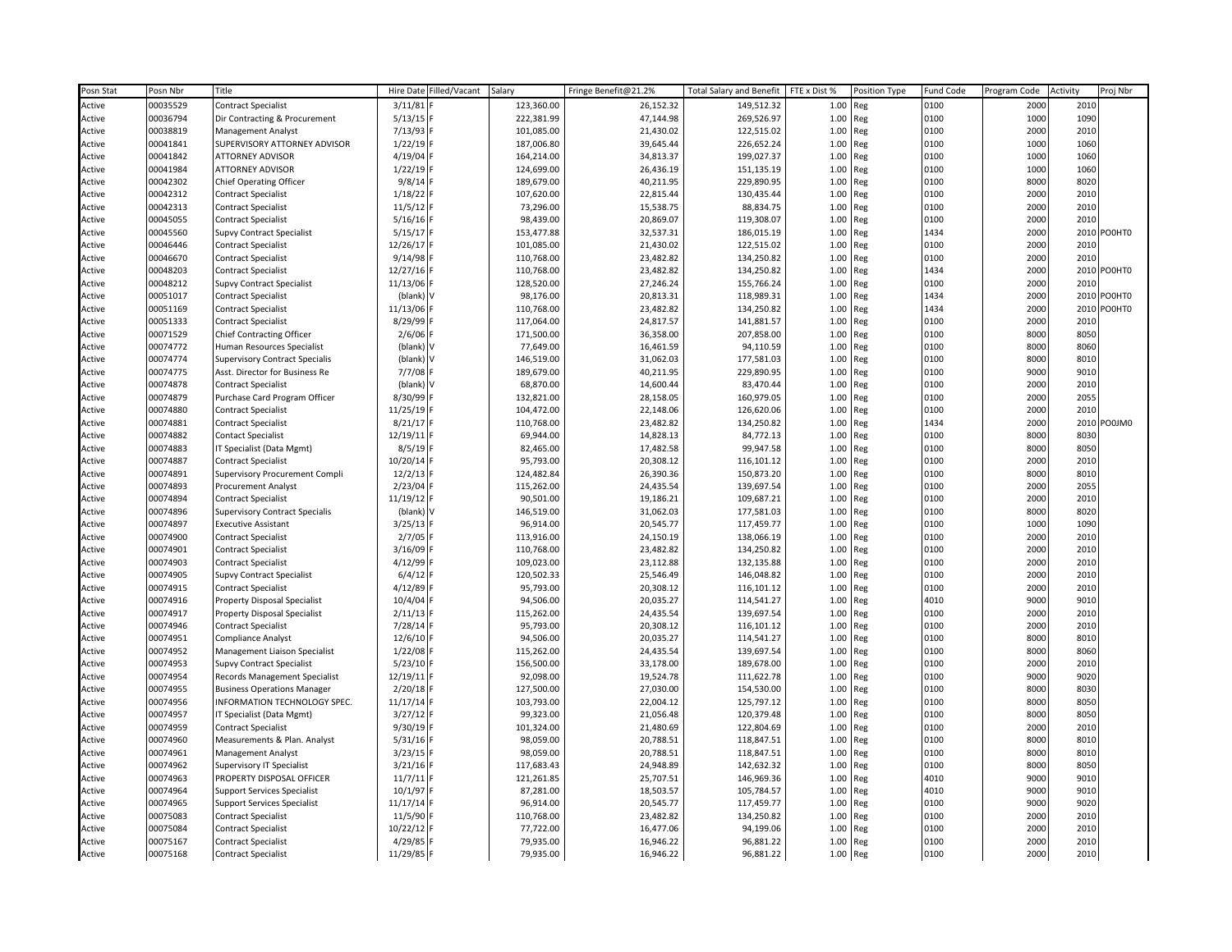| Posn Stat | Posn Nbr | Title                                 | Hire Date<br>Filled/Vacant | Salary     | Fringe Benefit@21.2% | <b>Total Salary and Benefit</b> | FTE x Dist % | Position Type | Fund Code | Program Code | Activity | Proj Nbr    |
|-----------|----------|---------------------------------------|----------------------------|------------|----------------------|---------------------------------|--------------|---------------|-----------|--------------|----------|-------------|
| Active    | 00035529 | <b>Contract Specialist</b>            | 3/11/81                    | 123,360.00 | 26,152.32            | 149,512.32                      | 1.00         | Reg           | 0100      | 2000         | 2010     |             |
| Active    | 00036794 | Dir Contracting & Procurement         | $5/13/15$ F                | 222,381.99 | 47,144.98            | 269,526.97                      | 1.00         | Reg           | 0100      | 1000         | 1090     |             |
| Active    | 00038819 | Management Analyst                    | 7/13/93 R                  | 101,085.00 | 21,430.02            | 122,515.02                      | 1.00         | Reg           | 0100      | 2000         | 2010     |             |
| Active    | 00041841 | SUPERVISORY ATTORNEY ADVISOR          | $1/22/19$ F                | 187,006.80 | 39,645.44            | 226,652.24                      | 1.00         | Reg           | 0100      | 1000         | 1060     |             |
| Active    | 00041842 | <b>ATTORNEY ADVISOR</b>               | 4/19/04 l                  | 164,214.00 | 34,813.37            | 199,027.37                      | 1.00         | Reg           | 0100      | 1000         | 1060     |             |
| Active    | 00041984 | <b>ATTORNEY ADVISOR</b>               | 1/22/19                    | 124,699.00 | 26,436.19            | 151,135.19                      | 1.00         | Reg           | 0100      | 1000         | 1060     |             |
| Active    | 00042302 | Chief Operating Officer               | 9/8/14                     | 189,679.00 | 40,211.95            | 229,890.95                      | 1.00         | Reg           | 0100      | 8000         | 8020     |             |
| Active    | 00042312 | Contract Specialist                   | $1/18/22$ F                | 107,620.00 | 22,815.44            | 130,435.44                      | 1.00         | Reg           | 0100      | 2000         | 2010     |             |
| Active    | 00042313 | Contract Specialist                   | 11/5/12                    | 73,296.00  | 15,538.75            | 88,834.75                       | 1.00         | Reg           | 0100      | 2000         | 2010     |             |
| Active    | 00045055 | <b>Contract Specialist</b>            | $5/16/16$ F                | 98,439.00  | 20,869.07            | 119,308.07                      | 1.00         | Reg           | 0100      | 2000         | 2010     |             |
| Active    | 00045560 | Supvy Contract Specialist             | 5/15/17                    | 153,477.88 | 32,537.31            | 186,015.19                      | 1.00         | Reg           | 1434      | 2000         |          | 2010 PO0HT0 |
| Active    | 00046446 | <b>Contract Specialist</b>            | 12/26/17                   | 101,085.00 | 21,430.02            | 122,515.02                      | 1.00         | Reg           | 0100      | 2000         | 2010     |             |
| Active    | 00046670 | <b>Contract Specialist</b>            | 9/14/98                    | 110,768.00 | 23,482.82            | 134,250.82                      | 1.00         | Reg           | 0100      | 2000         | 2010     |             |
| Active    | 00048203 | <b>Contract Specialist</b>            | 12/27/16                   | 110,768.00 | 23,482.82            | 134,250.82                      | 1.00         | Reg           | 1434      | 2000         |          | 2010 PO0HT0 |
| Active    | 00048212 | Supvy Contract Specialist             | 11/13/06                   | 128,520.00 | 27,246.24            | 155,766.24                      | 1.00         | Reg           | 0100      | 2000         | 2010     |             |
| Active    | 00051017 | <b>Contract Specialist</b>            | (blank) \                  | 98,176.00  | 20,813.31            | 118,989.31                      | 1.00         | Reg           | 1434      | 2000         |          | 2010 PO0HT0 |
| Active    | 00051169 | Contract Specialist                   | 11/13/06 F                 | 110,768.00 | 23,482.82            | 134,250.82                      | 1.00         | Reg           | 1434      | 2000         |          | 2010 PO0HT0 |
| Active    | 00051333 | Contract Specialist                   | 8/29/99                    | 117,064.00 | 24,817.57            | 141,881.57                      | 1.00         | Reg           | 0100      | 2000         | 2010     |             |
| Active    | 00071529 | <b>Chief Contracting Officer</b>      | $2/6/06$ F                 | 171,500.00 | 36,358.00            | 207,858.00                      | 1.00         | Reg           | 0100      | 8000         | 8050     |             |
| Active    | 00074772 | Human Resources Specialist            | (blank) \                  | 77,649.00  | 16,461.59            | 94,110.59                       | 1.00         | Reg           | 0100      | 8000         | 8060     |             |
| Active    | 00074774 | <b>Supervisory Contract Specialis</b> | (blank) V                  | 146,519.00 | 31,062.03            | 177,581.03                      | 1.00         | Reg           | 0100      | 8000         | 8010     |             |
| Active    | 00074775 | Asst. Director for Business Re        | 7/7/08 F                   | 189,679.00 | 40,211.95            | 229,890.95                      | 1.00         | Reg           | 0100      | 9000         | 9010     |             |
| Active    | 00074878 | Contract Specialist                   | (blank) \                  | 68,870.00  | 14,600.44            | 83,470.44                       | 1.00         | Reg           | 0100      | 2000         | 2010     |             |
| Active    | 00074879 | Purchase Card Program Officer         | 8/30/99 F                  | 132,821.00 | 28,158.05            | 160,979.05                      | 1.00         | Reg           | 0100      | 2000         | 2055     |             |
| Active    | 00074880 | <b>Contract Specialist</b>            | 11/25/19 R                 | 104,472.00 | 22,148.06            | 126,620.06                      | 1.00         | Reg           | 0100      | 2000         | 2010     |             |
| Active    | 00074881 | Contract Specialist                   | 8/21/17 F                  | 110,768.00 | 23,482.82            | 134,250.82                      | 1.00         | Reg           | 1434      | 2000         |          | 2010 PO0JM0 |
| Active    | 00074882 | Contact Specialist                    | 12/19/11                   | 69,944.00  | 14,828.13            | 84,772.13                       | 1.00         | Reg           | 0100      | 8000         | 8030     |             |
| Active    | 00074883 | IT Specialist (Data Mgmt)             | 8/5/19                     | 82,465.00  | 17,482.58            | 99,947.58                       | 1.00         | Reg           | 0100      | 8000         | 8050     |             |
| Active    | 00074887 | <b>Contract Specialist</b>            | 10/20/14                   | 95,793.00  | 20,308.12            | 116,101.12                      | 1.00         | Reg           | 0100      | 2000         | 2010     |             |
| Active    | 00074891 | Supervisory Procurement Compli        | 12/2/13                    | 124,482.84 | 26,390.36            | 150,873.20                      | 1.00         | Reg           | 0100      | 8000         | 8010     |             |
| Active    | 00074893 | Procurement Analyst                   | 2/23/04                    | 115,262.00 | 24,435.54            | 139,697.54                      | 1.00         | Reg           | 0100      | 2000         | 2055     |             |
| Active    | 00074894 | Contract Specialist                   | 11/19/12                   | 90,501.00  | 19,186.21            | 109,687.21                      | 1.00         | Reg           | 0100      | 2000         | 2010     |             |
| Active    | 00074896 | <b>Supervisory Contract Specialis</b> | (blank) V                  | 146,519.00 | 31,062.03            | 177,581.03                      | 1.00         | Reg           | 0100      | 8000         | 8020     |             |
| Active    | 00074897 | <b>Executive Assistant</b>            | 3/25/13                    | 96,914.00  | 20,545.77            | 117,459.77                      | 1.00         | Reg           | 0100      | 1000         | 1090     |             |
| Active    | 00074900 | Contract Specialist                   | $2/7/05$ F                 | 113,916.00 | 24,150.19            | 138,066.19                      | 1.00         | Reg           | 0100      | 2000         | 2010     |             |
| Active    | 00074901 | Contract Specialist                   | 3/16/09                    | 110,768.00 | 23,482.82            | 134,250.82                      | 1.00         | Reg           | 0100      | 2000         | 2010     |             |
| Active    | 00074903 | <b>Contract Specialist</b>            | 4/12/99                    | 109,023.00 | 23,112.88            | 132,135.88                      | 1.00         | Reg           | 0100      | 2000         | 2010     |             |
| Active    | 00074905 | <b>Supvy Contract Specialist</b>      | $6/4/12$ F                 | 120,502.33 | 25,546.49            | 146,048.82                      | 1.00         | Reg           | 0100      | 2000         | 2010     |             |
| Active    | 00074915 | <b>Contract Specialist</b>            | 4/12/89                    | 95,793.00  | 20,308.12            | 116,101.12                      | 1.00         | Reg           | 0100      | 2000         | 2010     |             |
| Active    | 00074916 | <b>Property Disposal Specialist</b>   | 10/4/04 F                  | 94,506.00  | 20,035.27            | 114,541.27                      | 1.00         | Reg           | 4010      | 9000         | 9010     |             |
| Active    | 00074917 | <b>Property Disposal Specialist</b>   | $2/11/13$ F                | 115,262.00 | 24,435.54            | 139,697.54                      | 1.00         | Reg           | 0100      | 2000         | 2010     |             |
| Active    | 00074946 | <b>Contract Specialist</b>            | 7/28/14 F                  | 95,793.00  | 20,308.12            | 116,101.12                      | 1.00         | Reg           | 0100      | 2000         | 2010     |             |
| Active    | 00074951 | Compliance Analyst                    | 12/6/10                    | 94,506.00  | 20,035.27            | 114,541.27                      | 1.00         | Reg           | 0100      | 8000         | 8010     |             |
| Active    | 00074952 | Management Liaison Specialist         | $1/22/08$ F                | 115,262.00 | 24,435.54            | 139,697.54                      | 1.00         | Reg           | 0100      | 8000         | 8060     |             |
| Active    | 00074953 | Supvy Contract Specialist             | 5/23/10                    | 156,500.00 | 33,178.00            | 189,678.00                      | 1.00         | Reg           | 0100      | 2000         | 2010     |             |
| Active    | 00074954 | Records Management Specialist         | 12/19/11                   | 92,098.00  | 19,524.78            | 111,622.78                      | 1.00         | Reg           | 0100      | 9000         | 9020     |             |
| Active    | 00074955 | <b>Business Operations Manager</b>    | 2/20/18                    | 127,500.00 | 27,030.00            | 154,530.00                      | 1.00         | Reg           | 0100      | 8000         | 8030     |             |
| Active    | 00074956 | INFORMATION TECHNOLOGY SPEC.          | 11/17/14                   | 103,793.00 | 22,004.12            | 125,797.12                      | 1.00         | Reg           | 0100      | 8000         | 8050     |             |
| Active    | 00074957 | IT Specialist (Data Mgmt)             | $3/27/12$ F                | 99,323.00  | 21,056.48            | 120,379.48                      | 1.00         | Reg           | 0100      | 8000         | 8050     |             |
| Active    | 00074959 | Contract Specialist                   | 9/30/19                    | 101,324.00 | 21,480.69            | 122,804.69                      | 1.00         | Reg           | 0100      | 2000         | 2010     |             |
| Active    | 00074960 | Measurements & Plan. Analyst          | $5/31/16$ F                | 98,059.00  | 20,788.51            | 118,847.51                      | 1.00         | Reg           | 0100      | 8000         | 8010     |             |
| Active    | 00074961 | Management Analyst                    | 3/23/15                    | 98,059.00  | 20,788.51            | 118,847.51                      | 1.00         | Reg           | 0100      | 8000         | 8010     |             |
| Active    | 00074962 | <b>Supervisory IT Specialist</b>      | $3/21/16$ F                | 117,683.43 | 24,948.89            | 142,632.32                      | 1.00         | Reg           | 0100      | 8000         | 8050     |             |
| Active    | 00074963 | PROPERTY DISPOSAL OFFICER             | 11/7/11                    | 121,261.85 | 25,707.51            | 146,969.36                      | 1.00         | Reg           | 4010      | 9000         | 9010     |             |
| Active    | 00074964 | <b>Support Services Specialist</b>    | 10/1/97                    | 87,281.00  | 18,503.57            | 105,784.57                      | 1.00         | Reg           | 4010      | 9000         | 9010     |             |
| Active    | 00074965 | Support Services Specialist           | 11/17/14                   | 96,914.00  | 20,545.77            | 117,459.77                      | 1.00         | Reg           | 0100      | 9000         | 9020     |             |
| Active    | 00075083 | <b>Contract Specialist</b>            | 11/5/90                    | 110,768.00 | 23,482.82            | 134,250.82                      | 1.00         | Reg           | 0100      | 2000         | 2010     |             |
| Active    | 00075084 | <b>Contract Specialist</b>            | 10/22/12 F                 | 77,722.00  | 16,477.06            | 94,199.06                       | 1.00         | Reg           | 0100      | 2000         | 2010     |             |
| Active    | 00075167 | Contract Specialist                   | 4/29/85 F                  | 79,935.00  | 16,946.22            | 96,881.22                       | 1.00         | Reg           | 0100      | 2000         | 2010     |             |
| Active    | 00075168 | <b>Contract Specialist</b>            | 11/29/85 F                 | 79,935.00  | 16,946.22            | 96,881.22                       | 1.00         | Reg           | 0100      | 2000         | 2010     |             |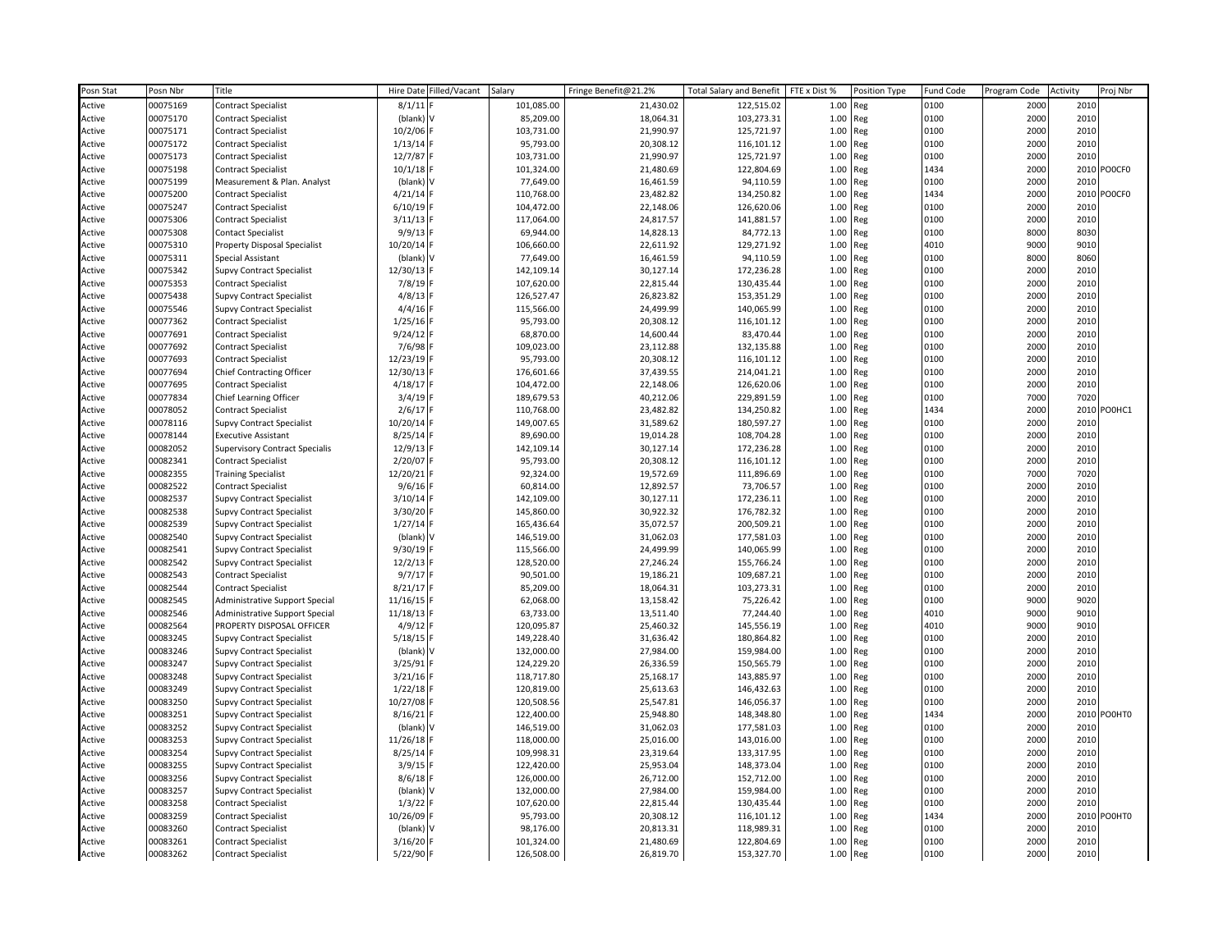| Posn Stat | Posn Nbr | Title                                 | Hire Date   | Filled/Vacant | Salary     | Fringe Benefit@21.2% | <b>Total Salary and Benefit</b> | FTE x Dist % | Position Type | Fund Code | Program Code | Activity | Proj Nbr |
|-----------|----------|---------------------------------------|-------------|---------------|------------|----------------------|---------------------------------|--------------|---------------|-----------|--------------|----------|----------|
| Active    | 00075169 | <b>Contract Specialist</b>            | 8/1/11      |               | 101,085.00 | 21,430.02            | 122,515.02                      | 1.00         | Reg           | 0100      | 2000         | 2010     |          |
| Active    | 00075170 | <b>Contract Specialist</b>            | (blank) V   |               | 85,209.00  | 18,064.31            | 103,273.31                      | 1.00         | Reg           | 0100      | 2000         | 2010     |          |
| Active    | 00075171 | <b>Contract Specialist</b>            | 10/2/06     |               | 103,731.00 | 21,990.97            | 125,721.97                      | 1.00         | Reg           | 0100      | 2000         | 2010     |          |
| Active    | 00075172 | <b>Contract Specialist</b>            | 1/13/14     |               | 95,793.00  | 20,308.12            | 116,101.12                      | 1.00         | Reg           | 0100      | 2000         | 2010     |          |
| Active    | 00075173 | <b>Contract Specialist</b>            | 12/7/87     |               | 103,731.00 | 21,990.97            | 125,721.97                      | 1.00         | Reg           | 0100      | 2000         | 2010     |          |
| Active    | 00075198 | <b>Contract Specialist</b>            | 10/1/18     |               | 101,324.00 | 21,480.69            | 122,804.69                      | 1.00         | Reg           | 1434      | 2000         | 2010     | POOCFO   |
| Active    | 00075199 | Measurement & Plan. Analyst           | (blank) V   |               | 77,649.00  | 16,461.59            | 94,110.59                       | 1.00         | Reg           | 0100      | 2000         | 2010     |          |
| Active    | 00075200 | <b>Contract Specialist</b>            | 4/21/14     |               | 110,768.00 | 23,482.82            | 134,250.82                      | 1.00         | Reg           | 1434      | 2000         | 2010     | POOCF0   |
| Active    | 00075247 | Contract Specialist                   | 6/10/19     |               | 104,472.00 | 22,148.06            | 126,620.06                      | 1.00         | Reg           | 0100      | 2000         | 2010     |          |
| Active    | 00075306 | <b>Contract Specialist</b>            | 3/11/13     |               | 117,064.00 | 24,817.57            | 141,881.57                      | 1.00         | Reg           | 0100      | 2000         | 2010     |          |
| Active    | 00075308 | <b>Contact Specialist</b>             | 9/9/13      |               | 69,944.00  | 14,828.13            | 84,772.13                       | 1.00         | Reg           | 0100      | 8000         | 8030     |          |
| Active    | 00075310 | Property Disposal Specialist          | 10/20/14    |               | 106,660.00 | 22,611.92            | 129,271.92                      | 1.00         | Reg           | 4010      | 9000         | 9010     |          |
| Active    | 00075311 | Special Assistant                     | (blank) V   |               | 77,649.00  | 16,461.59            | 94,110.59                       | 1.00         | Reg           | 0100      | 8000         | 8060     |          |
| Active    | 00075342 | <b>Supvy Contract Specialist</b>      | 12/30/13    |               | 142,109.14 | 30,127.14            | 172,236.28                      | 1.00         | Reg           | 0100      | 2000         | 2010     |          |
| Active    | 00075353 | <b>Contract Specialist</b>            | 7/8/19      |               | 107,620.00 | 22,815.44            | 130,435.44                      | 1.00         | Reg           | 0100      | 2000         | 2010     |          |
| Active    | 00075438 | Supvy Contract Specialist             | 4/8/13      |               | 126,527.47 | 26,823.82            | 153,351.29                      | 1.00         | Reg           | 0100      | 2000         | 2010     |          |
| Active    | 00075546 | <b>Supvy Contract Specialist</b>      | 4/4/16      |               | 115,566.00 | 24,499.99            | 140,065.99                      | 1.00         | Reg           | 0100      | 2000         | 2010     |          |
| Active    | 00077362 | Contract Specialist                   | 1/25/16     |               | 95,793.00  | 20,308.12            | 116,101.12                      | 1.00         | Reg           | 0100      | 2000         | 2010     |          |
| Active    | 00077691 | <b>Contract Specialist</b>            | 9/24/12     |               | 68,870.00  | 14,600.44            | 83,470.44                       | 1.00         | Reg           | 0100      | 2000         | 2010     |          |
| Active    | 00077692 | <b>Contract Specialist</b>            | 7/6/98      |               | 109,023.00 | 23,112.88            | 132,135.88                      | 1.00         | Reg           | 0100      | 2000         | 2010     |          |
| Active    | 00077693 | <b>Contract Specialist</b>            | 12/23/19    |               | 95,793.00  | 20,308.12            | 116,101.12                      | 1.00         | Reg           | 0100      | 2000         | 2010     |          |
| Active    | 00077694 | <b>Chief Contracting Officer</b>      | 12/30/13    |               | 176,601.66 | 37,439.55            | 214,041.21                      | 1.00         | Reg           | 0100      | 2000         | 2010     |          |
| Active    | 00077695 | <b>Contract Specialist</b>            | 4/18/17     |               | 104,472.00 | 22,148.06            | 126,620.06                      | 1.00         | Reg           | 0100      | 2000         | 2010     |          |
| Active    | 00077834 | Chief Learning Officer                | $3/4/19$ F  |               | 189,679.53 | 40,212.06            | 229,891.59                      | 1.00         | Reg           | 0100      | 7000         | 7020     |          |
| Active    | 00078052 | <b>Contract Specialist</b>            | 2/6/17      |               | 110,768.00 | 23,482.82            | 134,250.82                      | 1.00         | Reg           | 1434      | 2000         | 2010     | PO0HC1   |
| Active    | 00078116 | <b>Supvy Contract Specialist</b>      | 10/20/14    |               | 149,007.65 | 31,589.62            | 180,597.27                      | 1.00         | Reg           | 0100      | 2000         | 2010     |          |
| Active    | 00078144 | <b>Executive Assistant</b>            | 8/25/14     |               | 89,690.00  | 19,014.28            | 108,704.28                      | 1.00         | Reg           | 0100      | 2000         | 2010     |          |
| Active    | 00082052 | <b>Supervisory Contract Specialis</b> | 12/9/13     |               | 142,109.14 | 30,127.14            | 172,236.28                      | 1.00         | Reg           | 0100      | 2000         | 2010     |          |
| Active    | 00082341 | <b>Contract Specialist</b>            | 2/20/07     |               | 95,793.00  | 20,308.12            | 116,101.12                      | 1.00         | Reg           | 0100      | 2000         | 2010     |          |
| Active    | 00082355 | <b>Training Specialist</b>            | 12/20/21    |               | 92,324.00  | 19,572.69            | 111,896.69                      | 1.00         | Reg           | 0100      | 7000         | 7020     |          |
| Active    | 00082522 | <b>Contract Specialist</b>            | 9/6/16      |               | 60,814.00  | 12,892.57            | 73,706.57                       | 1.00         | Reg           | 0100      | 2000         | 2010     |          |
| Active    | 00082537 | <b>Supvy Contract Specialist</b>      | 3/10/14     |               | 142,109.00 | 30,127.11            | 172,236.11                      | 1.00         | Reg           | 0100      | 2000         | 2010     |          |
| Active    | 00082538 | <b>Supvy Contract Specialist</b>      | $3/30/20$ F |               | 145,860.00 | 30,922.32            | 176,782.32                      | 1.00         | Reg           | 0100      | 2000         | 2010     |          |
| Active    | 00082539 | <b>Supvy Contract Specialist</b>      | 1/27/14     |               | 165,436.64 | 35,072.57            | 200,509.21                      | 1.00         | Reg           | 0100      | 2000         | 2010     |          |
| Active    | 00082540 | Supvy Contract Specialist             | (blank) V   |               | 146,519.00 | 31,062.03            | 177,581.03                      | 1.00         | Reg           | 0100      | 2000         | 2010     |          |
| Active    | 00082541 | <b>Supvy Contract Specialist</b>      | 9/30/19     |               | 115,566.00 | 24,499.99            | 140,065.99                      | 1.00         | Reg           | 0100      | 2000         | 2010     |          |
| Active    | 00082542 | <b>Supvy Contract Specialist</b>      | 12/2/13     |               | 128,520.00 | 27,246.24            | 155,766.24                      | 1.00         | Reg           | 0100      | 2000         | 2010     |          |
| Active    | 00082543 | <b>Contract Specialist</b>            | 9/7/17      |               | 90,501.00  | 19,186.21            | 109,687.21                      | 1.00         | Reg           | 0100      | 2000         | 2010     |          |
| Active    | 00082544 | <b>Contract Specialist</b>            | 8/21/17     |               | 85,209.00  | 18,064.31            | 103,273.31                      | 1.00         | Reg           | 0100      | 2000         | 2010     |          |
| Active    | 00082545 | Administrative Support Special        | 11/16/15    |               | 62,068.00  | 13,158.42            | 75,226.42                       | 1.00         | Reg           | 0100      | 9000         | 9020     |          |
| Active    | 00082546 | Administrative Support Special        | 11/18/13    |               | 63,733.00  | 13,511.40            | 77,244.40                       | 1.00         | Reg           | 4010      | 9000         | 9010     |          |
| Active    | 00082564 | PROPERTY DISPOSAL OFFICER             | 4/9/12      |               | 120,095.87 | 25,460.32            | 145,556.19                      | 1.00         | Reg           | 4010      | 9000         | 9010     |          |
| Active    | 00083245 | <b>Supvy Contract Specialist</b>      | 5/18/15     |               | 149,228.40 | 31,636.42            | 180,864.82                      | 1.00         | Reg           | 0100      | 2000         | 2010     |          |
| Active    | 00083246 | <b>Supvy Contract Specialist</b>      | (blank) V   |               | 132,000.00 | 27,984.00            | 159,984.00                      | 1.00         | Reg           | 0100      | 2000         | 2010     |          |
| Active    | 00083247 | Supvy Contract Specialist             | 3/25/91     |               | 124,229.20 | 26,336.59            | 150,565.79                      | 1.00         | Reg           | 0100      | 2000         | 2010     |          |
| Active    | 00083248 | <b>Supvy Contract Specialist</b>      | 3/21/16     |               | 118,717.80 | 25,168.17            | 143,885.97                      | 1.00         | Reg           | 0100      | 2000         | 2010     |          |
| Active    | 00083249 | <b>Supvy Contract Specialist</b>      | 1/22/18     |               | 120,819.00 | 25,613.63            | 146,432.63                      | 1.00         | Reg           | 0100      | 2000         | 2010     |          |
| Active    | 00083250 | <b>Supvy Contract Specialist</b>      | 10/27/08    |               | 120,508.56 | 25,547.81            | 146,056.37                      | 1.00         | Reg           | 0100      | 2000         | 2010     |          |
| Active    | 00083251 | <b>Supvy Contract Specialist</b>      | 8/16/21     |               | 122,400.00 | 25,948.80            | 148,348.80                      | 1.00         | Reg           | 1434      | 2000         | 2010     | PO0HT0   |
| Active    | 00083252 | <b>Supvy Contract Specialist</b>      | (blank)     |               | 146,519.00 | 31,062.03            | 177,581.03                      | 1.00         | Reg           | 0100      | 2000         | 2010     |          |
| Active    | 00083253 | Supvy Contract Specialist             | 11/26/18    |               | 118,000.00 | 25,016.00            | 143,016.00                      | 1.00         | Reg           | 0100      | 2000         | 2010     |          |
| Active    | 00083254 | Supvy Contract Specialist             | 8/25/14     |               | 109,998.31 | 23,319.64            | 133,317.95                      | 1.00         | Reg           | 0100      | 2000         | 2010     |          |
| Active    | 00083255 | <b>Supvy Contract Specialist</b>      | 3/9/15      |               | 122,420.00 | 25,953.04            | 148,373.04                      | 1.00         | Reg           | 0100      | 2000         | 2010     |          |
| Active    | 00083256 | <b>Supvy Contract Specialist</b>      | 8/6/18      |               | 126,000.00 | 26,712.00            | 152,712.00                      | 1.00         | Reg           | 0100      | 2000         | 2010     |          |
| Active    | 00083257 | <b>Supvy Contract Specialist</b>      | (blank) V   |               | 132,000.00 | 27,984.00            | 159,984.00                      | 1.00         | Reg           | 0100      | 2000         | 2010     |          |
| Active    | 00083258 | <b>Contract Specialist</b>            | 1/3/22      |               | 107,620.00 | 22,815.44            | 130,435.44                      | 1.00         | Reg           | 0100      | 2000         | 2010     |          |
| Active    | 00083259 | <b>Contract Specialist</b>            | 10/26/09    |               | 95,793.00  | 20,308.12            | 116,101.12                      | 1.00         | Reg           | 1434      | 2000         | 2010     | PO0HT0   |
| Active    | 00083260 | <b>Contract Specialist</b>            | (blank)     |               | 98,176.00  | 20,813.31            | 118,989.31                      | 1.00         | Reg           | 0100      | 2000         | 2010     |          |
| Active    | 00083261 | <b>Contract Specialist</b>            | $3/16/20$ F |               | 101,324.00 | 21,480.69            | 122,804.69                      | 1.00         | Reg           | 0100      | 2000         | 2010     |          |
| Active    | 00083262 | <b>Contract Specialist</b>            | 5/22/90 F   |               | 126,508.00 | 26,819.70            | 153,327.70                      |              | 1.00 Reg      | 0100      | 2000         | 2010     |          |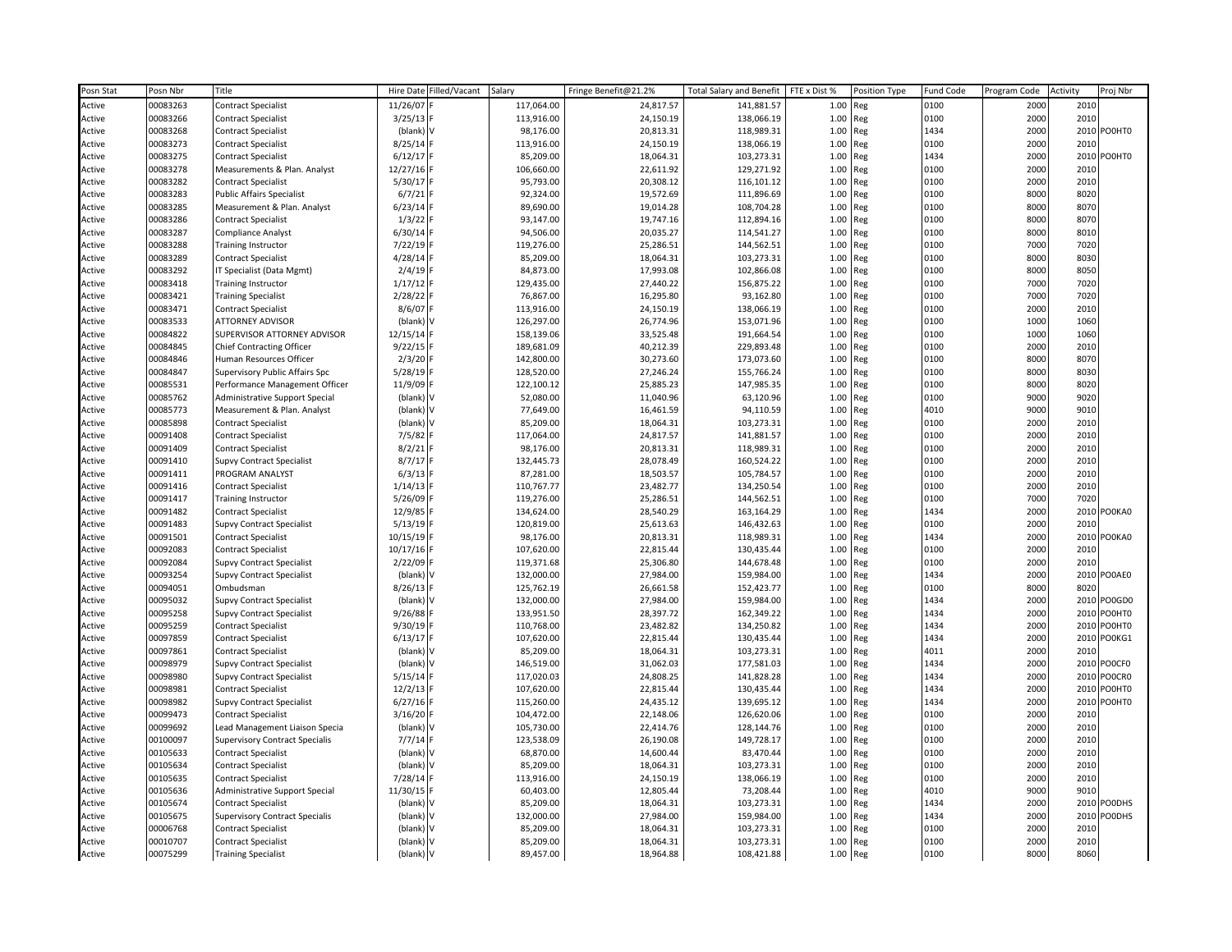| Posn Stat | Posn Nbr | Title                                 | <b>Hire Date</b> | Filled/Vacant | Salary     | Fringe Benefit@21.2% | <b>Total Salary and Benefit</b> | FTE x Dist % | Position Type | <b>Fund Code</b> | Program Code | Activity | Proj Nbr      |
|-----------|----------|---------------------------------------|------------------|---------------|------------|----------------------|---------------------------------|--------------|---------------|------------------|--------------|----------|---------------|
| Active    | 00083263 | <b>Contract Specialist</b>            | 11/26/07         |               | 117,064.00 | 24,817.57            | 141,881.57                      | 1.00         | Reg           | 0100             | 2000         | 2010     |               |
| Active    | 00083266 | <b>Contract Specialist</b>            | 3/25/13          |               | 113,916.00 | 24,150.19            | 138,066.19                      | 1.00         | Reg           | 0100             | 2000         | 2010     |               |
| Active    | 00083268 | <b>Contract Specialist</b>            | (blank)          |               | 98,176.00  | 20,813.31            | 118,989.31                      | 1.00         | Reg           | 1434             | 2000         | 2010     | PO0HT0        |
| Active    | 00083273 | <b>Contract Specialist</b>            | 8/25/14          |               | 113,916.00 | 24,150.19            | 138,066.19                      | 1.00         | Reg           | 0100             | 2000         | 2010     |               |
| Active    | 00083275 | <b>Contract Specialist</b>            | 6/12/17          |               | 85,209.00  | 18,064.31            | 103,273.31                      | 1.00         | Reg           | 1434             | 2000         | 2010     | PO0HT0        |
| Active    | 00083278 | Measurements & Plan. Analyst          | 12/27/16         |               | 106,660.00 | 22,611.92            | 129,271.92                      | 1.00         | Reg           | 0100             | 2000         | 2010     |               |
| Active    | 00083282 | <b>Contract Specialist</b>            | 5/30/17          |               | 95,793.00  | 20,308.12            | 116,101.12                      | 1.00         | Reg           | 0100             | 2000         | 2010     |               |
| Active    | 00083283 | <b>Public Affairs Specialist</b>      | 6/7/21           |               | 92,324.00  | 19,572.69            | 111,896.69                      | 1.00         | Reg           | 0100             | 8000         | 8020     |               |
| Active    | 00083285 | Measurement & Plan. Analyst           | 6/23/14          |               | 89,690.00  | 19,014.28            | 108,704.28                      | 1.00         | Reg           | 0100             | 8000         | 8070     |               |
| Active    | 00083286 | <b>Contract Specialist</b>            | 1/3/22           |               | 93,147.00  | 19,747.16            | 112,894.16                      | 1.00         | Reg           | 0100             | 8000         | 8070     |               |
| Active    | 00083287 | <b>Compliance Analyst</b>             | 6/30/14          |               | 94,506.00  | 20,035.27            | 114,541.27                      | 1.00         | Reg           | 0100             | 8000         | 8010     |               |
| Active    | 00083288 | <b>Training Instructor</b>            | 7/22/19          |               | 119,276.00 | 25,286.51            | 144,562.51                      | 1.00         | Reg           | 0100             | 7000         | 7020     |               |
| Active    | 00083289 | <b>Contract Specialist</b>            | 4/28/14          |               | 85,209.00  | 18,064.31            | 103,273.31                      | 1.00         | Reg           | 0100             | 8000         | 8030     |               |
| Active    | 00083292 | IT Specialist (Data Mgmt)             | 2/4/19           |               | 84,873.00  | 17,993.08            | 102,866.08                      | 1.00         | Reg           | 0100             | 8000         | 8050     |               |
| Active    | 00083418 | <b>Training Instructor</b>            | 1/17/12          |               | 129,435.00 | 27,440.22            | 156,875.22                      | 1.00         | Reg           | 0100             | 7000         | 7020     |               |
| Active    | 00083421 | <b>Training Specialist</b>            | 2/28/22          |               | 76,867.00  | 16,295.80            | 93,162.80                       | 1.00         | Reg           | 0100             | 7000         | 7020     |               |
| Active    | 00083471 | <b>Contract Specialist</b>            | 8/6/07           |               | 113,916.00 | 24,150.19            | 138,066.19                      | 1.00         | Reg           | 0100             | 2000         | 2010     |               |
| Active    | 00083533 | ATTORNEY ADVISOR                      | (blank)          |               | 126,297.00 | 26,774.96            | 153,071.96                      | 1.00         | Reg           | 0100             | 1000         | 1060     |               |
| Active    | 00084822 | SUPERVISOR ATTORNEY ADVISOR           | 12/15/14         |               | 158,139.06 | 33,525.48            | 191,664.54                      | 1.00         | Reg           | 0100             | 1000         | 1060     |               |
| Active    | 00084845 | <b>Chief Contracting Officer</b>      | 9/22/15          |               | 189,681.09 | 40,212.39            | 229,893.48                      | 1.00         | Reg           | 0100             | 2000         | 2010     |               |
| Active    | 00084846 | Human Resources Officer               | 2/3/20           |               | 142,800.00 | 30,273.60            | 173,073.60                      | 1.00         | Reg           | 0100             | 8000         | 8070     |               |
| Active    | 00084847 | Supervisory Public Affairs Spc        | 5/28/19          |               | 128,520.00 | 27,246.24            | 155,766.24                      | 1.00         | Reg           | 0100             | 8000         | 8030     |               |
| Active    | 00085531 | Performance Management Officer        | 11/9/09          |               | 122,100.12 | 25,885.23            | 147,985.35                      | 1.00         | Reg           | 0100             | 8000         | 8020     |               |
| Active    | 00085762 | Administrative Support Special        | (blank)          |               | 52,080.00  | 11,040.96            | 63,120.96                       | 1.00         | Reg           | 0100             | 9000         | 9020     |               |
| Active    | 00085773 | Measurement & Plan. Analyst           | (blank)          |               | 77,649.00  | 16,461.59            | 94,110.59                       | 1.00         | Reg           | 4010             | 9000         | 9010     |               |
| Active    | 00085898 | <b>Contract Specialist</b>            | (blank           |               | 85,209.00  | 18,064.31            | 103,273.31                      | 1.00         | Reg           | 0100             | 2000         | 2010     |               |
| Active    | 00091408 | <b>Contract Specialist</b>            | 7/5/82           |               | 117,064.00 | 24,817.57            | 141,881.57                      | 1.00         | Reg           | 0100             | 2000         | 2010     |               |
| Active    | 00091409 | <b>Contract Specialist</b>            | 8/2/21           |               | 98,176.00  | 20,813.31            | 118,989.31                      | 1.00         | Reg           | 0100             | 2000         | 2010     |               |
| Active    | 00091410 | <b>Supvy Contract Specialist</b>      | 8/7/17           |               | 132,445.73 | 28,078.49            | 160,524.22                      | 1.00         | Reg           | 0100             | 2000         | 2010     |               |
| Active    | 00091411 | PROGRAM ANALYST                       | 6/3/13           |               | 87,281.00  | 18,503.57            | 105,784.57                      | 1.00         | Reg           | 0100             | 2000         | 2010     |               |
| Active    | 00091416 | <b>Contract Specialist</b>            | 1/14/13          |               | 110,767.77 | 23,482.77            | 134,250.54                      | 1.00         | Reg           | 0100             | 2000         | 2010     |               |
| Active    | 00091417 | <b>Training Instructor</b>            | 5/26/09          |               | 119,276.00 | 25,286.51            | 144,562.51                      | 1.00         | Reg           | 0100             | 7000         | 7020     |               |
| Active    | 00091482 | <b>Contract Specialist</b>            | 12/9/85          |               | 134,624.00 | 28,540.29            | 163,164.29                      | 1.00         | Reg           | 1434             | 2000         | 2010     | PO0KA0        |
| Active    | 00091483 | <b>Supvy Contract Specialist</b>      | 5/13/19          |               | 120,819.00 | 25,613.63            | 146,432.63                      | 1.00         | Reg           | 0100             | 2000         | 2010     |               |
| Active    | 00091501 | <b>Contract Specialist</b>            | 10/15/19         |               | 98,176.00  | 20,813.31            | 118,989.31                      | 1.00         | Reg           | 1434             | 2000         | 2010     | PO0KA0        |
| Active    | 00092083 | <b>Contract Specialist</b>            | 10/17/16         |               | 107,620.00 | 22,815.44            | 130,435.44                      | 1.00         | Reg           | 0100             | 2000         | 2010     |               |
| Active    | 00092084 | <b>Supvy Contract Specialist</b>      | 2/22/09          |               | 119,371.68 | 25,306.80            | 144,678.48                      | 1.00         | Reg           | 0100             | 2000         | 2010     |               |
| Active    | 00093254 | <b>Supvy Contract Specialist</b>      | (blank)          |               | 132,000.00 | 27,984.00            | 159,984.00                      | 1.00         | Reg           | 1434             | 2000         | 2010     | PO0AE0        |
| Active    | 00094051 | Ombudsman                             | 8/26/13          |               | 125,762.19 | 26,661.58            | 152,423.77                      | 1.00         | Reg           | 0100             | 8000         | 8020     |               |
| Active    | 00095032 | <b>Supvy Contract Specialist</b>      | (blank)          |               | 132,000.00 | 27,984.00            | 159,984.00                      | 1.00         | Reg           | 1434             | 2000         | 2010     | PO0GD0        |
| Active    | 00095258 | <b>Supvy Contract Specialist</b>      | 9/26/88          |               | 133,951.50 | 28,397.72            | 162,349.22                      | 1.00         | Reg           | 1434             | 2000         | 2010     | PO0HT0        |
| Active    | 00095259 | <b>Contract Specialist</b>            | 9/30/19          |               | 110,768.00 | 23,482.82            | 134,250.82                      | 1.00         | Reg           | 1434             | 2000         | 2010     | PO0HT0        |
| Active    | 00097859 | <b>Contract Specialist</b>            | 6/13/17          |               | 107,620.00 | 22,815.44            | 130,435.44                      | 1.00         | Reg           | 1434             | 2000         | 2010     | PO0KG1        |
| Active    | 00097861 | <b>Contract Specialist</b>            | (blank)          |               | 85,209.00  | 18,064.31            | 103,273.31                      | 1.00         | Reg           | 4011             | 2000         | 2010     |               |
| Active    | 00098979 | <b>Supvy Contract Specialist</b>      | (blank           |               | 146,519.00 | 31,062.03            | 177,581.03                      | 1.00         | Reg           | 1434             | 2000         | 2010     | POOCFO        |
| Active    | 00098980 | <b>Supvy Contract Specialist</b>      | 5/15/14          |               | 117,020.03 | 24,808.25            | 141,828.28                      | 1.00         | Reg           | 1434             | 2000         | 2010     | POOCRO        |
| Active    | 00098981 | <b>Contract Specialist</b>            | 12/2/13          |               | 107,620.00 | 22,815.44            | 130,435.44                      | 1.00         | Reg           | 1434             | 2000         | 2010     | PO0HT0        |
| Active    | 00098982 | <b>Supvy Contract Specialist</b>      | 6/27/16          |               | 115,260.00 | 24,435.12            | 139,695.12                      | 1.00         | Reg           | 1434             | 2000         | 2010     | PO0HT0        |
| Active    | 00099473 | <b>Contract Specialist</b>            | 3/16/20          |               | 104,472.00 | 22,148.06            | 126,620.06                      | 1.00         | Reg           | 0100             | 2000         | 2010     |               |
| Active    | 00099692 | Lead Management Liaison Specia        | (blank)          |               | 105,730.00 | 22,414.76            | 128,144.76                      | 1.00         | Reg           | 0100             | 2000         | 2010     |               |
| Active    | 00100097 | <b>Supervisory Contract Specialis</b> | 7/7/14           |               | 123,538.09 | 26,190.08            | 149,728.17                      | 1.00         | Reg           | 0100             | 2000         | 2010     |               |
| Active    | 00105633 | <b>Contract Specialist</b>            | (blank)          |               | 68,870.00  | 14,600.44            | 83,470.44                       | 1.00         | Reg           | 0100             | 2000         | 2010     |               |
| Active    | 00105634 | <b>Contract Specialist</b>            | (blank)          |               | 85,209.00  | 18,064.31            | 103,273.31                      | 1.00         | Reg           | 0100             | 2000         | 2010     |               |
| Active    | 00105635 | <b>Contract Specialist</b>            | 7/28/14          |               | 113,916.00 | 24,150.19            | 138,066.19                      | 1.00         | Reg           | 0100             | 2000         | 2010     |               |
| Active    | 00105636 | Administrative Support Special        | 11/30/15         |               | 60,403.00  | 12,805.44            | 73,208.44                       | 1.00         | Reg           | 4010             | 9000         | 9010     |               |
| Active    | 00105674 | <b>Contract Specialist</b>            | (blank)          |               | 85,209.00  | 18,064.31            | 103,273.31                      | 1.00         | Reg           | 1434             | 2000         | 2010     | <b>POODHS</b> |
| Active    | 00105675 | <b>Supervisory Contract Specialis</b> | (blank)          |               | 132,000.00 | 27,984.00            | 159,984.00                      | 1.00         | Reg           | 1434             | 2000         | 2010     | POODHS        |
| Active    | 00006768 | <b>Contract Specialist</b>            | (blank)          |               | 85,209.00  | 18,064.31            | 103,273.31                      | 1.00         | Reg           | 0100             | 2000         | 2010     |               |
| Active    | 00010707 | <b>Contract Specialist</b>            | (blank)          |               | 85,209.00  | 18,064.31            | 103,273.31                      | 1.00         | Reg           | 0100             | 2000         | 2010     |               |
| Active    | 00075299 | <b>Training Specialist</b>            | (blank)          |               | 89,457.00  | 18,964.88            | 108,421.88                      | 1.00 Reg     |               | 0100             | 8000         | 8060     |               |